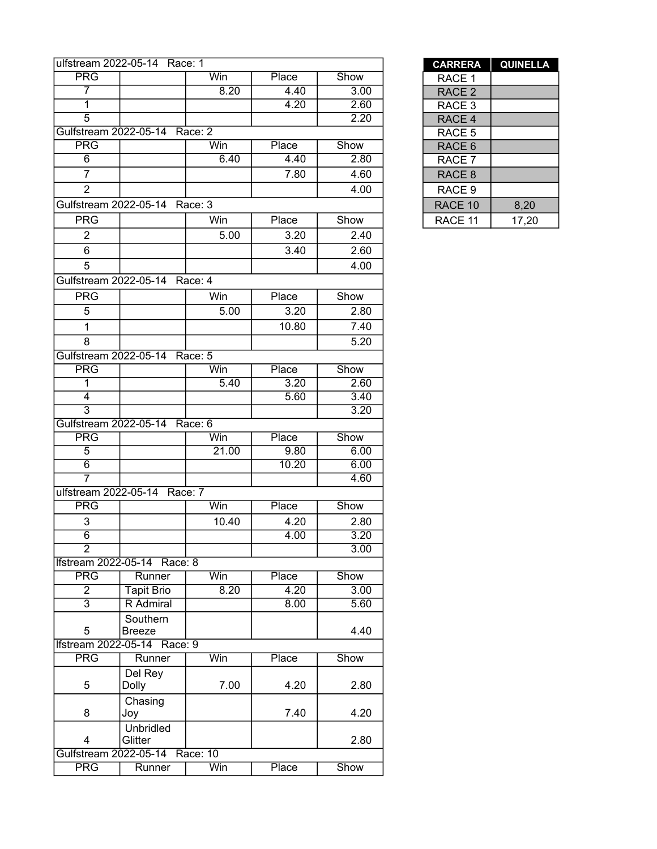|                       | ulfstream 2022-05-14 Race: 1  |             |               |              | <b>CARRERA</b>    | <b>QUINEL</b> |
|-----------------------|-------------------------------|-------------|---------------|--------------|-------------------|---------------|
| <b>PRG</b>            |                               | Win         | Place         | Show         | RACE 1            |               |
| 7                     |                               | 8.20        | 4.40          | 3.00         | RACE <sub>2</sub> |               |
| $\overline{1}$        |                               |             | 4.20          | 2.60         | RACE 3            |               |
| $\overline{5}$        |                               |             |               | 2.20         | RACE 4            |               |
| Gulfstream 2022-05-14 |                               | Race: 2     |               |              | RACE 5            |               |
| <b>PRG</b>            |                               | Win         | Place         | Show         | RACE 6            |               |
| $\overline{6}$        |                               | 6.40        | 4.40          | 2.80         | RACE 7            |               |
| $\overline{7}$        |                               |             | 7.80          | 4.60         | RACE <sub>8</sub> |               |
| $\overline{2}$        |                               |             |               | 4.00         | RACE 9            |               |
|                       | Gulfstream 2022-05-14 Race: 3 |             |               |              | RACE 10           | 8,20          |
| <b>PRG</b>            |                               | Win         | Place         | Show         | RACE 11           | 17,20         |
| $\overline{2}$        |                               | 5.00        | 3.20          | 2.40         |                   |               |
| 6                     |                               |             | 3.40          | 2.60         |                   |               |
| 5                     |                               |             |               | 4.00         |                   |               |
|                       | Gulfstream 2022-05-14 Race: 4 |             |               |              |                   |               |
| <b>PRG</b>            |                               | Win         | Place         | Show         |                   |               |
| 5                     |                               | 5.00        | 3.20          | 2.80         |                   |               |
|                       |                               |             |               |              |                   |               |
| 1                     |                               |             | 10.80         | 7.40         |                   |               |
| 8                     |                               |             |               | 5.20         |                   |               |
| Gulfstream 2022-05-14 |                               | Race: 5     |               |              |                   |               |
| <b>PRG</b><br>1       |                               | Win<br>5.40 | Place<br>3.20 | Show<br>2.60 |                   |               |
| $\overline{4}$        |                               |             | 5.60          | 3.40         |                   |               |
| $\overline{3}$        |                               |             |               | 3.20         |                   |               |
|                       | Gulfstream 2022-05-14 Race: 6 |             |               |              |                   |               |
| <b>PRG</b>            |                               | Win         | Place         | Show         |                   |               |
| $\overline{5}$        |                               | 21.00       | 9.80          | 6.00         |                   |               |
| $\overline{6}$        |                               |             | 10.20         | 6.00         |                   |               |
| 7                     |                               |             |               | 4.60         |                   |               |
| ulfstream 2022-05-14  |                               | Race: 7     |               |              |                   |               |
| <b>PRG</b>            |                               | Win         | Place         | Show         |                   |               |
| 3                     |                               | 10.40       | 4.20          | 2.80         |                   |               |
| $\overline{6}$        |                               |             | 4.00          | 3.20         |                   |               |
| $\overline{2}$        |                               |             |               | 3.00         |                   |               |
|                       | Ifstream 2022-05-14 Race: 8   |             |               |              |                   |               |
| <b>PRG</b>            | Runner                        | Win         | Place         | Show         |                   |               |
| $\overline{2}$        | <b>Tapit Brio</b>             | 8.20        | 4.20          | 3.00         |                   |               |
| $\overline{3}$        | R Admiral                     |             | 8.00          | 5.60         |                   |               |
|                       | Southern                      |             |               |              |                   |               |
| 5                     | <b>Breeze</b>                 |             |               | 4.40         |                   |               |
|                       | Ifstream 2022-05-14 Race: 9   |             |               |              |                   |               |
| <b>PRG</b>            | Runner                        | Win         | Place         | Show         |                   |               |
|                       | Del Rey                       |             |               |              |                   |               |
| 5                     | Dolly                         | 7.00        | 4.20          | 2.80         |                   |               |
| 8                     | Chasing                       |             |               |              |                   |               |
|                       | Joy                           |             | 7.40          | 4.20         |                   |               |
| 4                     | <b>Unbridled</b><br>Glitter   |             |               | 2.80         |                   |               |
|                       | Gulfstream 2022-05-14         | Race: 10    |               |              |                   |               |
| <b>PRG</b>            | Runner                        | Win         | Place         | Show         |                   |               |

| <b>CARRERA</b>    | <b>QUINELLA</b> |
|-------------------|-----------------|
| RACE 1            |                 |
| RACE <sub>2</sub> |                 |
| RACE 3            |                 |
| RACE 4            |                 |
| RACE 5            |                 |
| RACE 6            |                 |
| RACE 7            |                 |
| RACE 8            |                 |
| RACE 9            |                 |
| RACE 10           | 8,20            |
| RACE 11           | 17,20           |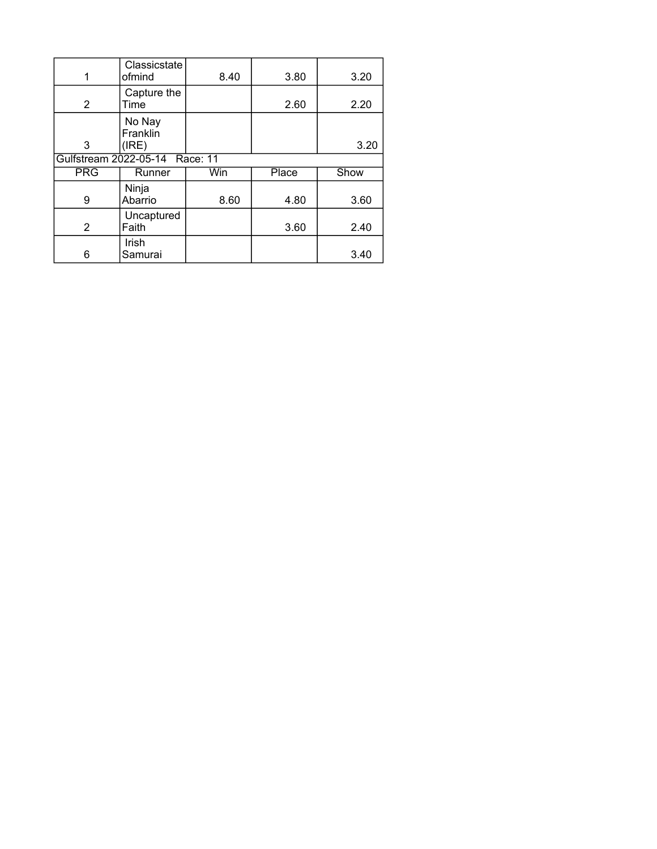|                | Classicstate<br>ofmind         | 8.40 | 3.80         | 3.20 |
|----------------|--------------------------------|------|--------------|------|
| $\overline{2}$ | Capture the<br>Time            |      | 2.60         | 2.20 |
| 3              | No Nay<br>Franklin<br>(IRE)    |      |              | 3.20 |
|                | Gulfstream 2022-05-14 Race: 11 |      |              |      |
| <b>PRG</b>     | Runner                         | Win  | <b>Place</b> | Show |
| 9              | Ninja<br>Abarrio               | 8.60 | 4.80         | 3.60 |
| $\overline{2}$ | Uncaptured<br>Faith            |      | 3.60         | 2.40 |
|                | Irish                          |      |              |      |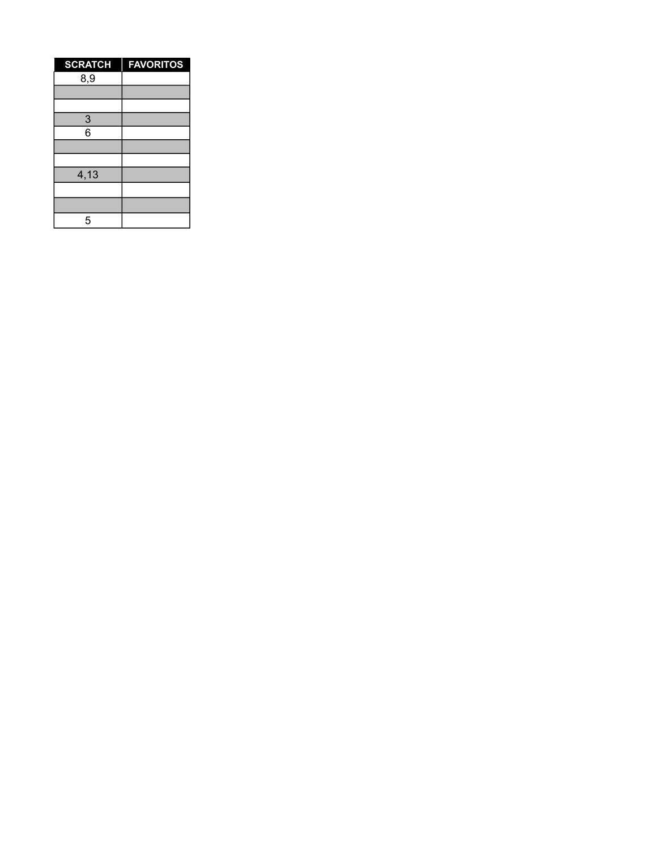| <b>SCRATCH</b> | <b>FAVORITOS</b> |
|----------------|------------------|
| 8,9            |                  |
|                |                  |
|                |                  |
| $rac{3}{6}$    |                  |
|                |                  |
|                |                  |
|                |                  |
| 4,13           |                  |
|                |                  |
|                |                  |
| 5              |                  |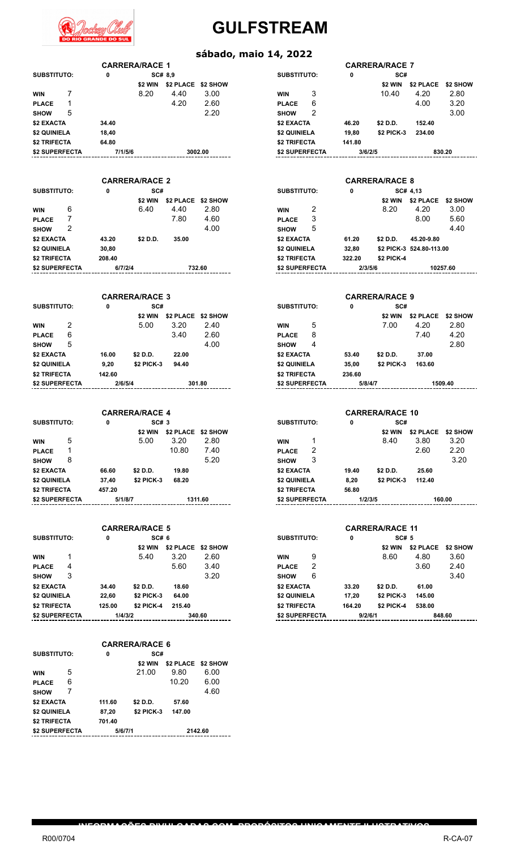

#### **sábado, maio 14, 2022**

| <b>SUBSTITUTO:</b>    |   | 0        |                       | SC# 8,9          |               | <b>SUBSTITUTO:</b>  |   | 0        | SC#                   |                          |        |
|-----------------------|---|----------|-----------------------|------------------|---------------|---------------------|---|----------|-----------------------|--------------------------|--------|
|                       |   |          | \$2 WIN               | \$2 PLACE        | \$2 SHOW      |                     |   |          | \$2 WIN               | \$2 PLACE                | \$2    |
| <b>WIN</b>            |   |          | 8.20                  | 4.40             | 3.00          | <b>WIN</b>          | 3 |          | 10.40                 | 4.20                     |        |
| <b>PLACE</b>          |   |          |                       | 4.20             | 2.60          | <b>PLACE</b>        | 6 |          |                       | 4.00                     |        |
| <b>SHOW</b>           | 5 |          |                       |                  | 2.20          | <b>SHOW</b>         | 2 |          |                       |                          |        |
| \$2 EXACTA            |   | 34.40    |                       |                  |               | \$2 EXACTA          |   | 46.20    | \$2 D.D.              | 152.40                   |        |
| \$2 QUINIELA          |   | 18,40    |                       |                  |               | \$2 QUINIELA        |   | 19,80    | \$2 PICK-3            | 234.00                   |        |
| \$2 TRIFECTA          |   | 64.80    |                       |                  |               | \$2 TRIFECTA        |   | 141.80   |                       |                          |        |
| <b>\$2 SUPERFECTA</b> |   | 7/1/5/6  |                       |                  | 3002.00       | \$2 SUPERFECTA      |   | 3/6/2/5  |                       |                          | 830.20 |
|                       |   |          | <b>CARRERA/RACE 2</b> |                  |               |                     |   |          | <b>CARRERA/RACE 8</b> |                          |        |
| <b>SUBSTITUTO:</b>    |   | 0        | SC#                   |                  |               | <b>SUBSTITUTO:</b>  |   | 0        |                       | SC# 4,13                 |        |
|                       |   |          | \$2 WIN               | <b>\$2 PLACE</b> | \$2 SHOW      |                     |   |          | \$2 WIN               | \$2 PLACE                | \$2    |
| <b>WIN</b>            | 6 |          | 6.40                  | 4.40             | 2.80          | <b>WIN</b>          | 2 |          | 8.20                  | 4.20                     |        |
| <b>PLACE</b>          |   |          |                       | 7.80             | 4.60          | <b>PLACE</b>        | 3 |          |                       | 8.00                     |        |
| <b>SHOW</b>           | 2 |          |                       |                  | 4.00          | <b>SHOW</b>         | 5 |          |                       |                          |        |
| \$2 EXACTA            |   | 43.20    | \$2 D.D.              | 35.00            |               | \$2 EXACTA          |   | 61.20    | \$2 D.D.              | 45.20-9.80               |        |
| \$2 QUINIELA          |   | 30,80    |                       |                  |               | \$2 QUINIELA        |   | 32,80    |                       | \$2 PICK-3 524.80-113.00 |        |
| \$2 TRIFECTA          |   | 208.40   |                       |                  |               | <b>\$2 TRIFECTA</b> |   | 322.20   | <b>\$2 PICK-4</b>     |                          |        |
| 0.01000000000         |   | 0.171014 |                       |                  | $\sim$ $\sim$ | 0.01000000000       |   | 0.101518 |                       | $\lambda$                |        |

**CARRERA/RACE 1 CARRERA/RACE 7**

|                    |   |         | <b>CARRERA/RACE 3</b> |           |          | <b>CARRERA/RACE 9</b> |   |         |                   |               |         |  |
|--------------------|---|---------|-----------------------|-----------|----------|-----------------------|---|---------|-------------------|---------------|---------|--|
| <b>SUBSTITUTO:</b> |   | 0       | SC#                   |           |          | <b>SUBSTITUTO:</b>    |   | 0       |                   | SC#           |         |  |
|                    |   |         | \$2 WIN               | \$2 PLACE | \$2 SHOW |                       |   |         | \$2 WIN           | \$2 PLACE \$2 |         |  |
| <b>WIN</b>         | 2 |         | 5.00                  | 3.20      | 2.40     | <b>WIN</b>            | 5 |         | 7.00              | 4.20          | 2       |  |
| <b>PLACE</b>       | 6 |         |                       | 3.40      | 2.60     | <b>PLACE</b>          | 8 |         |                   | 7.40          | 4       |  |
| <b>SHOW</b>        | 5 |         |                       |           | 4.00     | <b>SHOW</b>           | 4 |         |                   |               | 2       |  |
| \$2 EXACTA         |   | 16.00   | \$2 D.D.              | 22.00     |          | \$2 EXACTA            |   | 53.40   | \$2 D.D.          | 37.00         |         |  |
| \$2 QUINIELA       |   | 9.20    | <b>\$2 PICK-3</b>     | 94.40     |          | \$2 QUINIELA          |   | 35.00   | <b>\$2 PICK-3</b> | 163.60        |         |  |
| \$2 TRIFECTA       |   | 142.60  |                       |           |          | \$2 TRIFECTA          |   | 236.60  |                   |               |         |  |
| \$2 SUPERFECTA     |   | 2/6/5/4 |                       |           | 301.80   | \$2 SUPERFECTA        |   | 5/8/4/7 |                   |               | 1509.40 |  |

|                       |   |         | <b>CARRERA/RACE 4</b> |           |          | <b>CARRERA/RACE 10</b> |   |       |                   |          |  |
|-----------------------|---|---------|-----------------------|-----------|----------|------------------------|---|-------|-------------------|----------|--|
| SUBSTITUTO:           |   | 0       | SC#3                  |           |          | <b>SUBSTITUTO:</b>     |   | 0     | SC#               |          |  |
|                       |   |         | \$2 WIN               | \$2 PLACE | \$2 SHOW |                        |   |       | \$2 WIN           | \$2 PLAC |  |
| <b>WIN</b>            | 5 |         | 5.00                  | 3.20      | 2.80     | <b>WIN</b>             |   |       | 8.40              | 3.80     |  |
| <b>PLACE</b>          |   |         |                       | 10.80     | 7.40     | <b>PLACE</b>           | 2 |       |                   | 2.60     |  |
| <b>SHOW</b>           | 8 |         |                       |           | 5.20     | <b>SHOW</b>            | 3 |       |                   |          |  |
| \$2 EXACTA            |   | 66.60   | \$2 D.D.              | 19.80     |          | \$2 EXACTA             |   | 19.40 | \$2 D.D.          | 25.60    |  |
| \$2 QUINIELA          |   | 37.40   | <b>\$2 PICK-3</b>     | 68.20     |          | \$2 QUINIELA           |   | 8,20  | <b>\$2 PICK-3</b> | 112.40   |  |
| <b>\$2 TRIFECTA</b>   |   | 457.20  |                       |           |          | \$2 TRIFECTA           |   | 56.80 |                   |          |  |
| <b>\$2 SUPERFECTA</b> |   | 5/1/8/7 |                       |           | 1311.60  | \$2 SUPERFECTA         |   |       | 1/2/3/5           |          |  |
|                       |   |         |                       |           |          |                        |   |       |                   |          |  |

|                     |   |         | <b>CARRERA/RACE 5</b> |                    |        | <b>CARRERA/RACE 11</b> |                    |         |                   |           |        |
|---------------------|---|---------|-----------------------|--------------------|--------|------------------------|--------------------|---------|-------------------|-----------|--------|
| SUBSTITUTO:         |   | 0       | SC# 6                 |                    |        |                        | <b>SUBSTITUTO:</b> |         | SC# 5             |           |        |
|                     |   |         | \$2 WIN               | \$2 PLACE \$2 SHOW |        |                        |                    |         | \$2 WIN           | \$2 PLACE | \$2    |
| <b>WIN</b>          |   |         | 5.40                  | 3.20               | 2.60   | <b>WIN</b>             | 9                  |         | 8.60              | 4.80      |        |
| <b>PLACE</b>        | 4 |         |                       | 5.60               | 3.40   | <b>PLACE</b>           | 2                  |         |                   | 3.60      |        |
| <b>SHOW</b>         | 3 |         |                       |                    | 3.20   | <b>SHOW</b>            | 6                  |         |                   |           |        |
| \$2 EXACTA          |   | 34.40   | \$2 D.D.              | 18.60              |        | \$2 EXACTA             |                    | 33.20   | \$2 D.D.          | 61.00     |        |
| \$2 QUINIELA        |   | 22.60   | \$2 PICK-3            | 64.00              |        | \$2 QUINIELA           |                    | 17,20   | <b>\$2 PICK-3</b> | 145.00    |        |
| <b>\$2 TRIFECTA</b> |   | 125.00  | \$2 PICK-4            | 215.40             |        | \$2 TRIFECTA           |                    | 164.20  | \$2 PICK-4        | 538.00    |        |
| \$2 SUPERFECTA      |   | 1/4/3/2 |                       |                    | 340.60 | \$2 SUPERFECTA         |                    | 9/2/6/1 |                   |           | 848.60 |

| 0      | SC#        |                    |                       |  |  |
|--------|------------|--------------------|-----------------------|--|--|
|        | \$2 WIN    | \$2 PLACE \$2 SHOW |                       |  |  |
|        | 21.00      | 9.80               | 6.00                  |  |  |
|        |            | 10.20              | 6.00                  |  |  |
|        |            |                    | 4.60                  |  |  |
| 111.60 | \$2 D.D.   | 57.60              |                       |  |  |
| 87,20  | \$2 PICK-3 | 147.00             |                       |  |  |
| 701.40 |            |                    |                       |  |  |
|        |            | 2142.60            |                       |  |  |
|        |            | 5/6/7/1            | <b>CARRERA/RACE 6</b> |  |  |

**INFORMAÇÕES DIVULGADAS COM PROPÓSITOS UNICAMENTE ILUSTRATIVOS**

| /RACE 1 |                    |      | <b>CARRERA/RACE 7</b> |   |         |            |           |          |  |  |
|---------|--------------------|------|-----------------------|---|---------|------------|-----------|----------|--|--|
| SC# 8.9 |                    |      | <b>SUBSTITUTO:</b>    |   | 0       | SC#        |           |          |  |  |
| \$2 WIN | \$2 PLACE \$2 SHOW |      |                       |   |         | \$2 WIN    | \$2 PLACE | \$2 SHOW |  |  |
| 8.20    | 4.40               | 3.00 | <b>WIN</b>            | 3 |         | 10.40      | 4.20      | 2.80     |  |  |
|         | 4.20               | 2.60 | <b>PLACE</b>          | 6 |         |            | 4.00      | 3.20     |  |  |
|         |                    | 2.20 | <b>SHOW</b>           | 2 |         |            |           | 3.00     |  |  |
|         |                    |      | \$2 EXACTA            |   | 46.20   | \$2 D.D.   | 152.40    |          |  |  |
|         |                    |      | \$2 QUINIELA          |   | 19,80   | \$2 PICK-3 | 234.00    |          |  |  |
|         |                    |      | \$2 TRIFECTA          |   | 141.80  |            |           |          |  |  |
| 3002.00 |                    |      | \$2 SUPERFECTA        |   | 3/6/2/5 |            | 830.20    |          |  |  |
|         |                    |      |                       |   |         |            |           |          |  |  |

|                | <b>CARRERA/RACE 2</b>          |         |          |                    |          |                |          |         | <b>CARRERA/RACE 8</b> |                          |          |
|----------------|--------------------------------|---------|----------|--------------------|----------|----------------|----------|---------|-----------------------|--------------------------|----------|
|                | <b>SUBSTITUTO:</b><br>SC#<br>0 |         |          | <b>SUBSTITUTO:</b> |          | 0              | SC# 4,13 |         |                       |                          |          |
|                |                                |         | \$2 WIN  | \$2 PLACE          | \$2 SHOW |                |          |         | \$2 WIN               | \$2 PLACE                | \$2 SHOW |
| <b>WIN</b>     | 6                              |         | 6.40     | 4.40               | 2.80     | <b>WIN</b>     | 2        |         | 8.20                  | 4.20                     | 3.00     |
| <b>PLACE</b>   |                                |         |          | 7.80               | 4.60     | <b>PLACE</b>   | 3        |         |                       | 8.00                     | 5.60     |
| <b>SHOW</b>    | 2                              |         |          |                    | 4.00     | <b>SHOW</b>    | 5        |         |                       |                          | 4.40     |
| \$2 EXACTA     |                                | 43.20   | \$2 D.D. | 35.00              |          | \$2 EXACTA     |          | 61.20   | \$2 D.D.              | 45.20-9.80               |          |
| \$2 QUINIELA   |                                | 30,80   |          |                    |          | \$2 QUINIELA   |          | 32,80   |                       | \$2 PICK-3 524.80-113.00 |          |
| \$2 TRIFECTA   |                                | 208.40  |          |                    |          | \$2 TRIFECTA   |          | 322.20  | <b>\$2 PICK-4</b>     |                          |          |
| \$2 SUPERFECTA |                                | 6/7/2/4 |          |                    | 732.60   | \$2 SUPERFECTA |          | 2/3/5/6 |                       |                          | 10257.60 |

|                   | <b>CARRERA/RACE 3</b> |                    |                | <b>CARRERA/RACE 9</b> |         |        |                   |           |                 |  |  |
|-------------------|-----------------------|--------------------|----------------|-----------------------|---------|--------|-------------------|-----------|-----------------|--|--|
| 0                 | SC#                   |                    |                | <b>SUBSTITUTO:</b>    |         | 0      | SC#               |           |                 |  |  |
|                   | \$2 WIN               | \$2 PLACE \$2 SHOW |                |                       |         |        | \$2 WIN           | \$2 PLACE | <b>\$2 SHOW</b> |  |  |
|                   | 5.00                  | 3.20               | 2.40           | <b>WIN</b>            | 5       |        | 7.00              | 4.20      | 2.80            |  |  |
|                   |                       | 3.40               | 2.60           | <b>PLACE</b>          | 8       |        |                   | 7.40      | 4.20            |  |  |
|                   |                       |                    | 4.00           | <b>SHOW</b>           | 4       |        |                   |           | 2.80            |  |  |
| 16.00             | \$2 D.D.              | 22.00              |                | \$2 EXACTA            |         | 53.40  | \$2 D.D.          | 37.00     |                 |  |  |
| 9.20              | <b>\$2 PICK-3</b>     | 94.40              |                | \$2 QUINIELA          |         | 35,00  | <b>\$2 PICK-3</b> | 163.60    |                 |  |  |
| 42.60             |                       |                    |                | \$2 TRIFECTA          |         | 236.60 |                   |           |                 |  |  |
| 2/6/5/4<br>301.80 |                       |                    | \$2 SUPERFECTA |                       | 5/8/4/7 |        | 1509.40           |           |                 |  |  |

|         | <b>CARRERA/RACE 4</b> |                    |         |                    |   |         | <b>CARRERA/RACE 10</b> |           |          |
|---------|-----------------------|--------------------|---------|--------------------|---|---------|------------------------|-----------|----------|
| 0       | SC# 3                 |                    |         | <b>SUBSTITUTO:</b> |   | 0       | SC#                    |           |          |
|         | \$2 WIN               | \$2 PLACE \$2 SHOW |         |                    |   |         | \$2 WIN                | \$2 PLACE | \$2 SHOW |
|         | 5.00                  | 3.20               | 2.80    | <b>WIN</b>         |   |         | 8.40                   | 3.80      | 3.20     |
|         |                       | 10.80              | 7.40    | <b>PLACE</b>       | 2 |         |                        | 2.60      | 2.20     |
|         |                       |                    | 5.20    | <b>SHOW</b>        | 3 |         |                        |           | 3.20     |
| 66.60   | \$2 D.D.              | 19.80              |         | \$2 EXACTA         |   | 19.40   | \$2 D.D.               | 25.60     |          |
| 37.40   | \$2 PICK-3            | 68.20              |         | \$2 QUINIELA       |   | 8.20    | <b>\$2 PICK-3</b>      | 112.40    |          |
| 57.20   |                       |                    |         | \$2 TRIFECTA       |   | 56.80   |                        |           |          |
| 5/1/8/7 |                       |                    | 1311.60 | \$2 SUPERFECTA     |   | 1/2/3/5 |                        |           | 160.00   |

|         | <b>CARRERA/RACE 5</b> |                    |        |                    |   |         | <b>CARRERA/RACE 11</b> |                  |          |
|---------|-----------------------|--------------------|--------|--------------------|---|---------|------------------------|------------------|----------|
| 0       | SC#6                  |                    |        | <b>SUBSTITUTO:</b> |   | 0       | <b>SC# 5</b>           |                  |          |
|         | \$2 WIN               | \$2 PLACE \$2 SHOW |        |                    |   |         | \$2 WIN                | <b>\$2 PLACE</b> | \$2 SHOW |
|         | 5.40                  | 3.20               | 2.60   | <b>WIN</b>         | 9 |         | 8.60                   | 4.80             | 3.60     |
|         |                       | 5.60               | 3.40   | <b>PLACE</b>       | 2 |         |                        | 3.60             | 2.40     |
|         |                       |                    | 3.20   | <b>SHOW</b>        | 6 |         |                        |                  | 3.40     |
| 34.40   | \$2 D.D.              | 18.60              |        | \$2 EXACTA         |   | 33.20   | \$2 D.D.               | 61.00            |          |
| 22.60   | <b>\$2 PICK-3</b>     | 64.00              |        | \$2 QUINIELA       |   | 17,20   | <b>\$2 PICK-3</b>      | 145.00           |          |
| 25.00   | <b>\$2 PICK-4</b>     | 215.40             |        | \$2 TRIFECTA       |   | 164.20  | \$2 PICK-4             | 538.00           |          |
| 1/4/3/2 |                       |                    | 340.60 | \$2 SUPERFECTA     |   | 9/2/6/1 |                        |                  | 848.60   |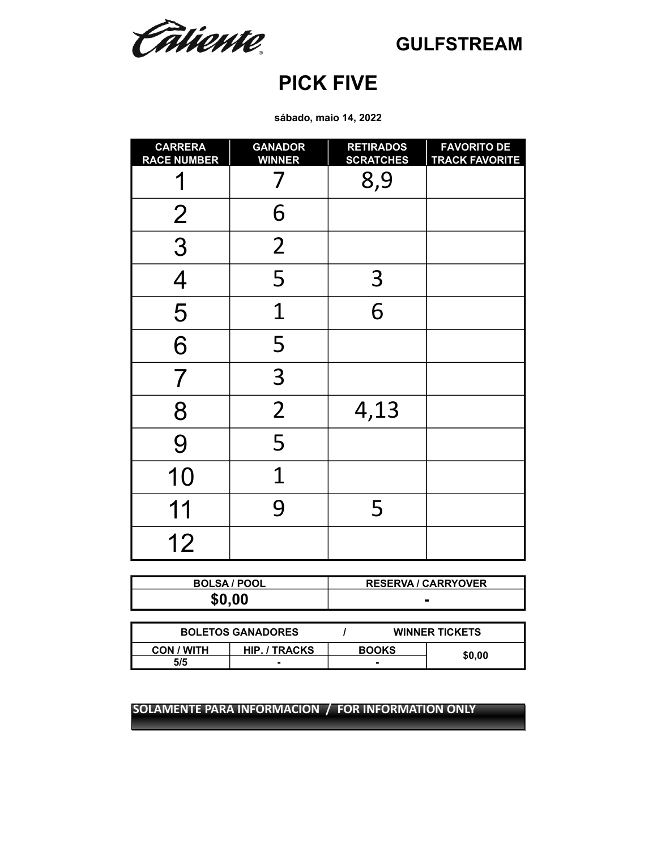Câtiente.

### **PICK FIVE**

**sábado, maio 14, 2022**

| <b>CARRERA</b><br><b>RACE NUMBER</b> | <b>GANADOR</b><br><b>WINNER</b> | <b>RETIRADOS</b><br><b>SCRATCHES</b> | <b>FAVORITO DE</b><br><b>TRACK FAVORITE</b> |
|--------------------------------------|---------------------------------|--------------------------------------|---------------------------------------------|
|                                      |                                 | 8,9                                  |                                             |
| $\overline{2}$                       | 6                               |                                      |                                             |
| $\overline{3}$                       | $\overline{2}$                  |                                      |                                             |
| $\overline{4}$                       | 5                               | 3                                    |                                             |
| 5                                    | 1                               | 6                                    |                                             |
| 6                                    | 5                               |                                      |                                             |
| $\overline{7}$                       | 3                               |                                      |                                             |
| 8                                    | $\overline{2}$                  | 4,13                                 |                                             |
| 9                                    | 5                               |                                      |                                             |
| 10                                   | $\overline{1}$                  |                                      |                                             |
| 11                                   | 9                               | 5                                    |                                             |
| 12                                   |                                 |                                      |                                             |

| <b>BOLSA / POOL</b> | <b>RESERVA / CARRYOVER</b> |
|---------------------|----------------------------|
| \$0.00              |                            |

| <b>BOLETOS GANADORES</b>           |  | <b>WINNER TICKETS</b> |        |
|------------------------------------|--|-----------------------|--------|
| HIP. / TRACKS<br><b>CON / WITH</b> |  | <b>BOOKS</b>          |        |
| 5/5                                |  |                       | \$0.00 |

**SOLAMENTE PARA INFORMACION / FOR INFORMATION ONLY SOLAMENTE PARA INFORMACION / FOR INFORMATION ONLY**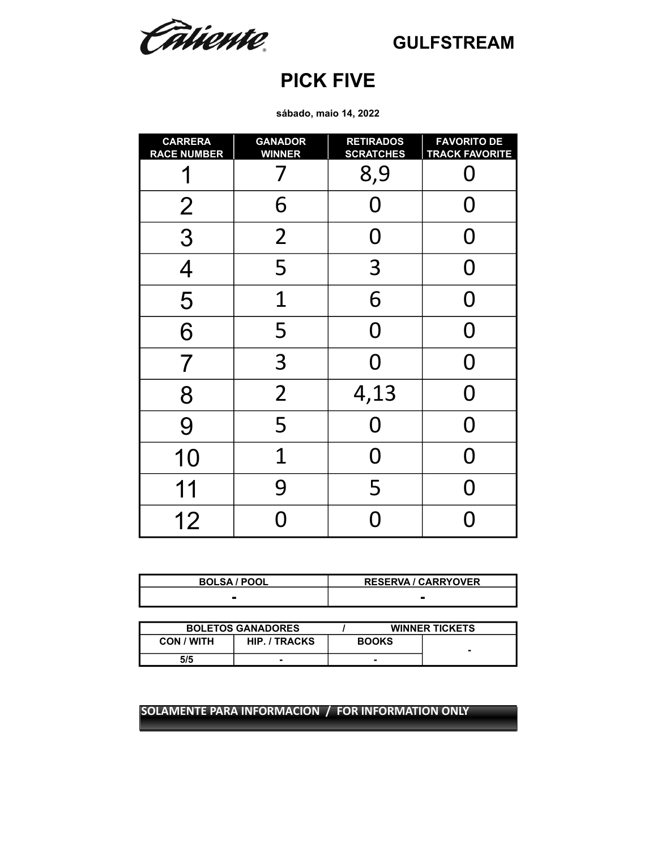Catiente.

### **PICK FIVE**

**sábado, maio 14, 2022**

| <b>CARRERA</b><br><b>RACE NUMBER</b> | <b>GANADOR</b><br><b>WINNER</b> | <b>RETIRADOS</b><br><b>SCRATCHES</b> | <b>FAVORITO DE</b><br><b>TRACK FAVORITE</b> |
|--------------------------------------|---------------------------------|--------------------------------------|---------------------------------------------|
|                                      |                                 | 8,9                                  |                                             |
| $\overline{2}$                       | 6                               | O                                    | 0                                           |
| 3                                    | $\overline{2}$                  | O                                    | 0                                           |
| 4                                    | 5                               | 3                                    | O                                           |
| 5                                    | 1                               | 6                                    | 0                                           |
| 6                                    | 5                               | O                                    | O                                           |
| 7                                    | 3                               | O                                    | O                                           |
| 8                                    | $\overline{2}$                  | 4,13                                 | O                                           |
| 9                                    | 5                               | 0                                    | N                                           |
| 10                                   | $\overline{1}$                  | N                                    | ∩                                           |
| 11                                   | 9                               | 5                                    | N                                           |
| 12                                   |                                 |                                      |                                             |

| <b>BOLSA / POOL</b> | <b>RESERVA / CARRYOVER</b> |
|---------------------|----------------------------|
|                     |                            |

|                   | <b>BOLETOS GANADORES</b> |              | <b>WINNER TICKETS</b> |
|-------------------|--------------------------|--------------|-----------------------|
| <b>CON / WITH</b> | <b>HIP. / TRACKS</b>     | <b>BOOKS</b> |                       |
| 5/5               | ۰                        | -            |                       |

#### **SOLAMENTE PARA INFORMACION / FOR INFORMATION ONLY**